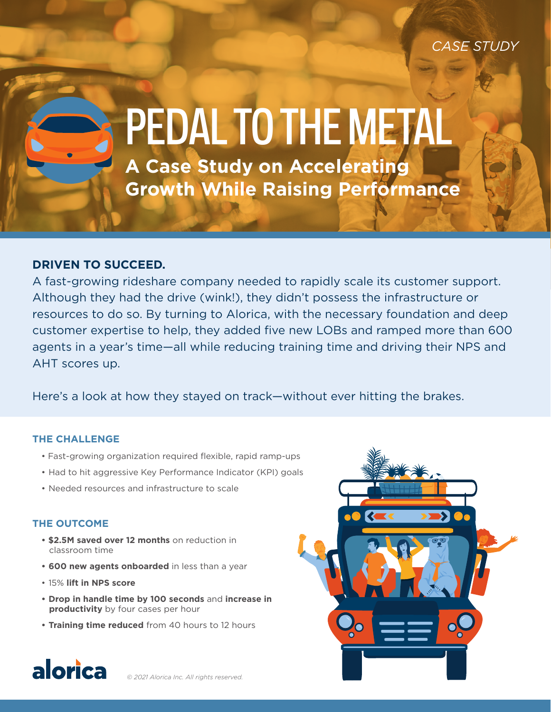*CASE STUDY*

# **A Case Study on Accelerating**  PEDAL TO THE METAL

**Growth While Raising Performance** 

# **DRIVEN TO SUCCEED.**

A fast-growing rideshare company needed to rapidly scale its customer support. Although they had the drive (wink!), they didn't possess the infrastructure or resources to do so. By turning to Alorica, with the necessary foundation and deep customer expertise to help, they added five new LOBs and ramped more than 600 agents in a year's time—all while reducing training time and driving their NPS and AHT scores up.

Here's a look at how they stayed on track—without ever hitting the brakes.

## **THE CHALLENGE**

- Fast-growing organization required flexible, rapid ramp-ups
- Had to hit aggressive Key Performance Indicator (KPI) goals
- Needed resources and infrastructure to scale

# **THE OUTCOME**

- **\$2.5M saved over 12 months** on reduction in classroom time
- **• 600 new agents onboarded** in less than a year
- 15% **lift in NPS score**
- **• Drop in handle time by 100 seconds** and **increase in productivity** by four cases per hour
- **• Training time reduced** from 40 hours to 12 hours



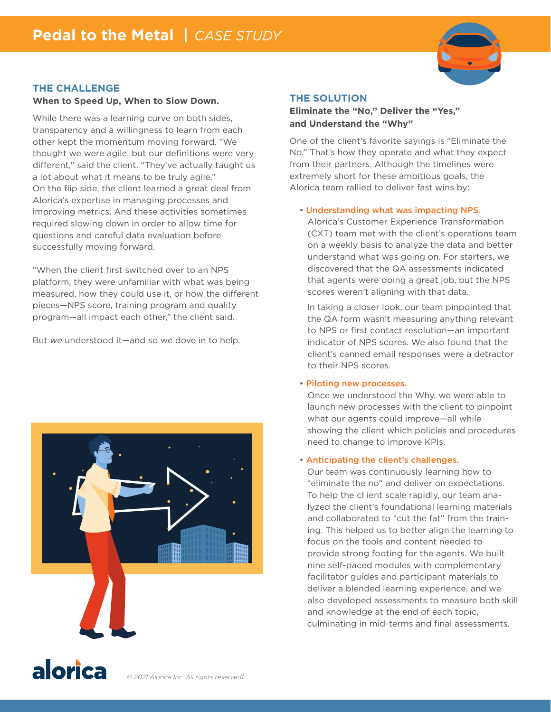

### **THE CHALLENGE**

#### **When to Speed Up, When to Slow Down.**

While there was a learning curve on both sides, transparency and a willingness to learn from each other kept the momentum moving forward. "We thought we were agile, but our definitions were very different," said the client. "They've actually taught us a lot about what it means to be truly agile." On the flip side, the client learned a great deal from Alorica's expertise in managing processes and improving metrics. And these activities sometimes required slowing down in order to allow time for questions and careful data evaluation before successfully moving forward.

"When the client first switched over to an NPS platform, they were unfamiliar with what was being measured, how they could use it, or how the different pieces—NPS score, training program and quality program—all impact each other," the client said.

But *we* understood it—and so we dove in to help.



#### **THE SOLUTION**

**Eliminate the "No," Deliver the "Yes," and Understand the "Why"**

One of the client's favorite sayings is "Eliminate the No." That's how they operate and what they expect from their partners. Although the timelines were extremely short for these ambitious goals, the Alorica team rallied to deliver fast wins by:

#### • Understanding what was impacting NPS.

Alorica's Customer Experience Transformation (CXT) team met with the client's operations team on a weekly basis to analyze the data and better understand what was going on. For starters, we discovered that the QA assessments indicated that agents were doing a great job, but the NPS scores weren't aligning with that data.

 In taking a closer look, our team pinpointed that the QA form wasn't measuring anything relevant to NPS or first contact resolution—an important indicator of NPS scores. We also found that the client's canned email responses were a detractor to their NPS scores.

#### • Piloting new processes.

Once we understood the Why, we were able to launch new processes with the client to pinpoint what our agents could improve—all while showing the client which policies and procedures need to change to improve KPIs.

#### • Anticipating the client's challenges.

 Our team was continuously learning how to "eliminate the no" and deliver on expectations. To help the cl ient scale rapidly, our team analyzed the client's foundational learning materials and collaborated to "cut the fat" from the training. This helped us to better align the learning to focus on the tools and content needed to provide strong footing for the agents. We built nine self-paced modules with complementary facilitator guides and participant materials to deliver a blended learning experience, and we also developed assessments to measure both skill and knowledge at the end of each topic, culminating in mid-terms and final assessments.